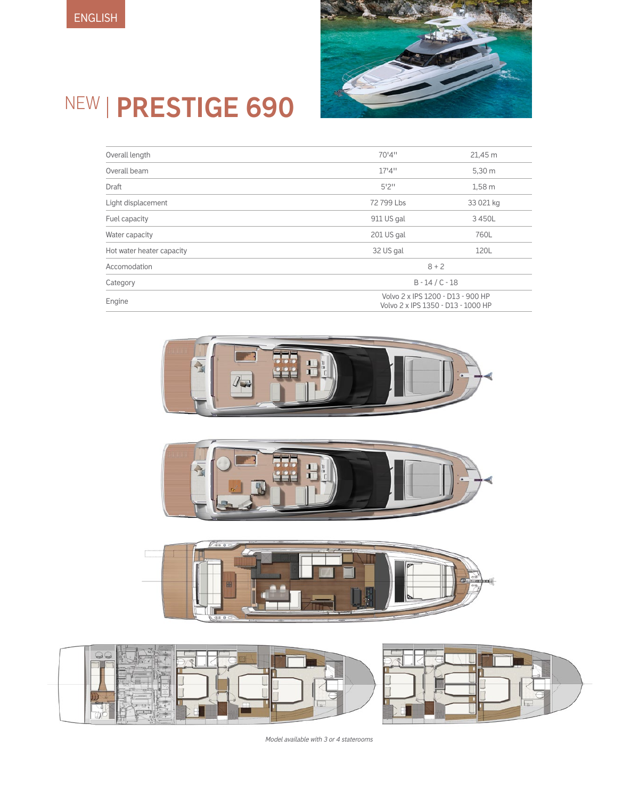

# NEW **PRESTIGE 690**

| Overall length            | 70'4"                                                                   | 21,45 m   |
|---------------------------|-------------------------------------------------------------------------|-----------|
| Overall beam              | 17'4''                                                                  | 5,30 m    |
| Draft                     | 5'2''                                                                   | 1,58m     |
| Light displacement        | 72 799 Lbs                                                              | 33 021 kg |
| Fuel capacity             | 911 US gal                                                              | 3450L     |
| Water capacity            | 201 US gal                                                              | 760L      |
| Hot water heater capacity | 32 US gal                                                               | 120L      |
| Accomodation              | $8 + 2$                                                                 |           |
| Category                  | $B - 14 / C - 18$                                                       |           |
| Engine                    | Volvo 2 x IPS 1200 - D13 - 900 HP<br>Volvo 2 x IPS 1350 - D13 - 1000 HP |           |









*Model available with 3 or 4 staterooms*